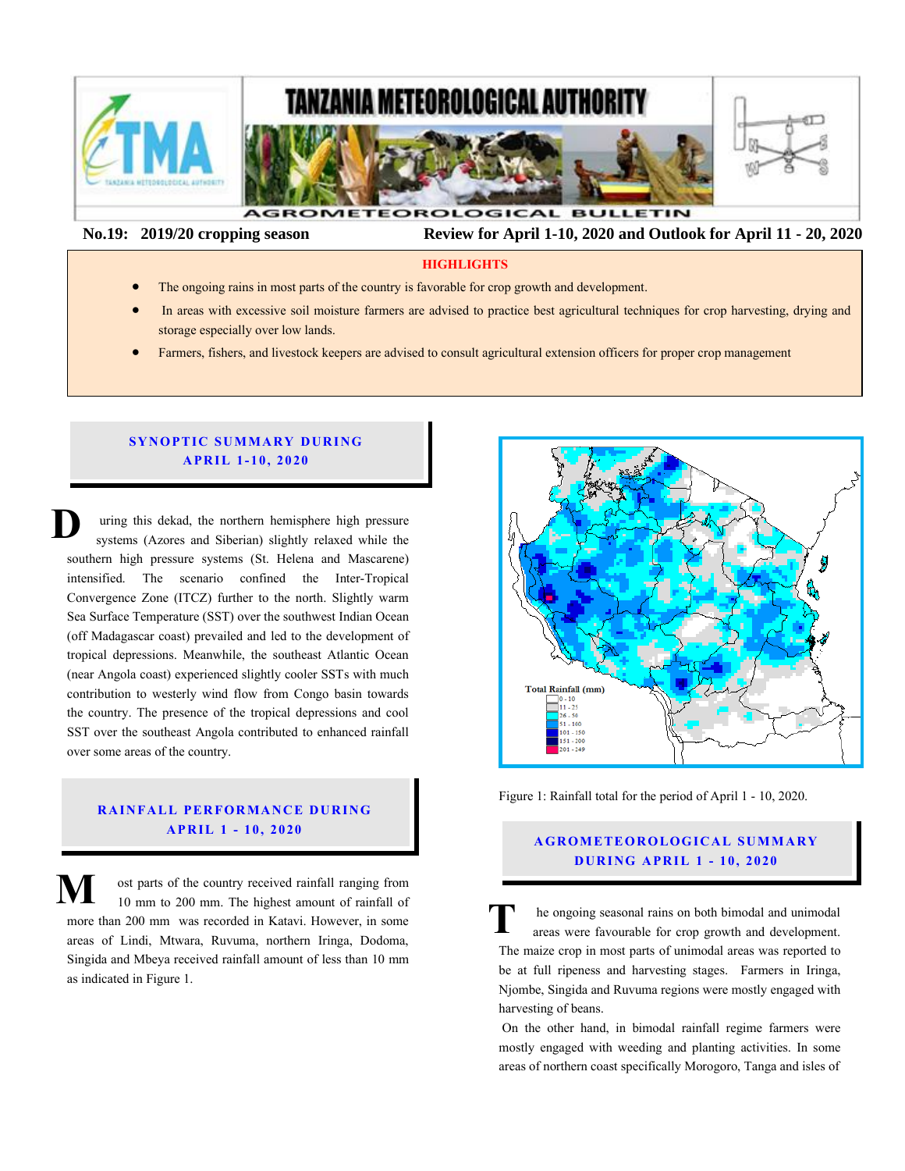

 **No.19: 2019/20 cropping season Review for April 1-10, 2020 and Outlook for April 11 - 20, 2020** 

#### **HIGHLIGHTS**

- The ongoing rains in most parts of the country is favorable for crop growth and development.
- In areas with excessive soil moisture farmers are advised to practice best agricultural techniques for crop harvesting, drying and storage especially over low lands.
- Farmers, fishers, and livestock keepers are advised to consult agricultural extension officers for proper crop management

## **SYNOPTIC SUMMARY DURING A PR IL 1- 10, 20 20**

uring this dekad, the northern hemisphere high pressure systems (Azores and Siberian) slightly relaxed while the southern high pressure systems (St. Helena and Mascarene) intensified. The scenario confined the Inter-Tropical Convergence Zone (ITCZ) further to the north. Slightly warm Sea Surface Temperature (SST) over the southwest Indian Ocean (off Madagascar coast) prevailed and led to the development of tropical depressions. Meanwhile, the southeast Atlantic Ocean (off Madagascar coast) prevailed and led to the development of tropical depressions. Meanwhile, the southeast Atlantic Ocean (near Angola coast) experienced slightly cooler SSTs with much contribution to westerly wind flow from Congo basin towards the country. The presence of the tropical depressions and cool SST over the southeast Angola contributed to enhanced rainfall over some areas of the country. **D** so<br>
in<br>
Co

# **RAINFALL PERFORMANCE DURING A PR IL 1 - 10, 20 20**

ost parts of the country received rainfall ranging from 10 mm to 200 mm. The highest amount of rainfall of more than 200 mm was recorded in Katavi. However, in some areas of Lindi, Mtwara, Ruvuma, northern Iringa, Dodoma, Singida and Mbeya received rainfall amount of less than 10 mm as indicated in Figure 1. **M**



Figure 1: Rainfall total for the period of April 1 - 10, 2020.

## **AGROMETEOROLOGICAL SUMMARY D UR ING A PR IL 1 - 10, 2020**

he ongoing seasonal rains on both bimodal and unimodal areas were favourable for crop growth and development. The maize crop in most parts of unimodal areas was reported to be at full ripeness and harvesting stages. Farmers in Iringa, Njombe, Singida and Ruvuma regions were mostly engaged with harvesting of beans. **T**

On the other hand, in bimodal rainfall regime farmers were mostly engaged with weeding and planting activities. In some areas of northern coast specifically Morogoro, Tanga and isles of